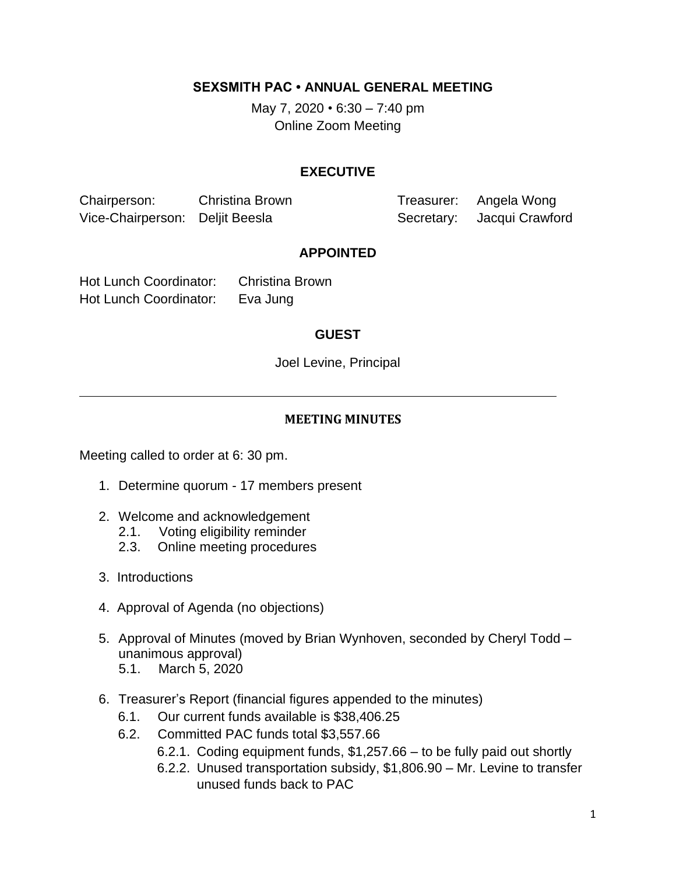**SEXSMITH PAC • ANNUAL GENERAL MEETING**

May 7, 2020 *•* 6:30 – 7:40 pm Online Zoom Meeting

# **EXECUTIVE**

Chairperson: Christina Brown Treasurer: Angela Wong Vice-Chairperson: Deljit Beesla Secretary: Jacqui Crawford

#### **APPOINTED**

Hot Lunch Coordinator: Christina Brown Hot Lunch Coordinator: Eva Jung

## **GUEST**

Joel Levine, Principal

## **MEETING MINUTES**

Meeting called to order at 6: 30 pm.

- 1. Determine quorum 17 members present
- 2. Welcome and acknowledgement
	- 2.1. Voting eligibility reminder
	- 2.3. Online meeting procedures
- 3. Introductions
- 4. Approval of Agenda (no objections)
- 5. Approval of Minutes (moved by Brian Wynhoven, seconded by Cheryl Todd unanimous approval)
	- 5.1. March 5, 2020
- 6. Treasurer's Report (financial figures appended to the minutes)
	- 6.1. Our current funds available is \$38,406.25
	- 6.2. Committed PAC funds total \$3,557.66
		- 6.2.1. Coding equipment funds, \$1,257.66 to be fully paid out shortly
		- 6.2.2. Unused transportation subsidy, \$1,806.90 Mr. Levine to transfer unused funds back to PAC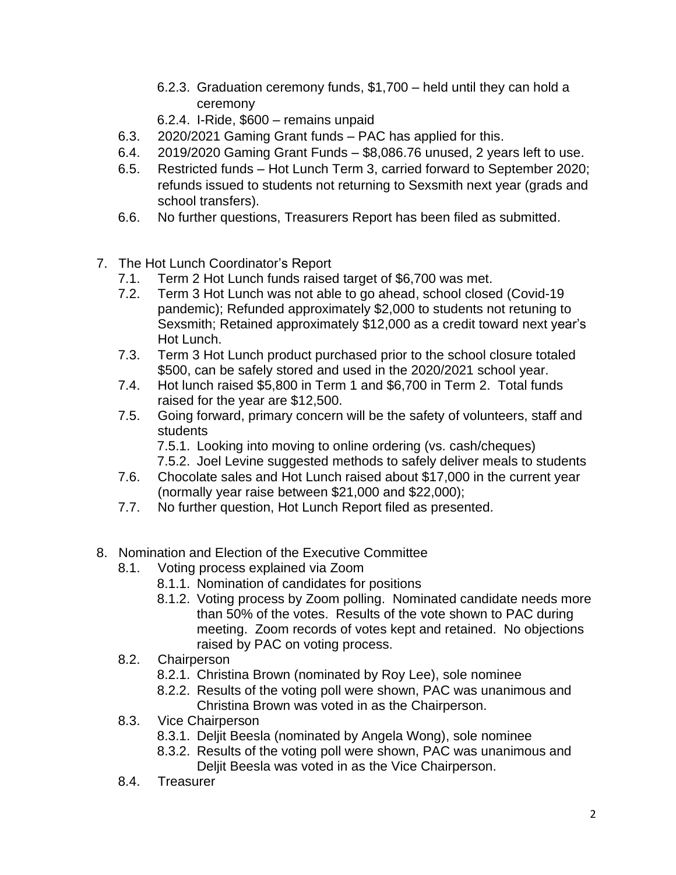- 6.2.3. Graduation ceremony funds, \$1,700 held until they can hold a ceremony
- 6.2.4. I-Ride, \$600 remains unpaid
- 6.3. 2020/2021 Gaming Grant funds PAC has applied for this.
- 6.4. 2019/2020 Gaming Grant Funds \$8,086.76 unused, 2 years left to use.
- 6.5. Restricted funds Hot Lunch Term 3, carried forward to September 2020; refunds issued to students not returning to Sexsmith next year (grads and school transfers).
- 6.6. No further questions, Treasurers Report has been filed as submitted.
- 7. The Hot Lunch Coordinator's Report
	- 7.1. Term 2 Hot Lunch funds raised target of \$6,700 was met.
	- 7.2. Term 3 Hot Lunch was not able to go ahead, school closed (Covid-19 pandemic); Refunded approximately \$2,000 to students not retuning to Sexsmith; Retained approximately \$12,000 as a credit toward next year's Hot Lunch.
	- 7.3. Term 3 Hot Lunch product purchased prior to the school closure totaled \$500, can be safely stored and used in the 2020/2021 school year.
	- 7.4. Hot lunch raised \$5,800 in Term 1 and \$6,700 in Term 2. Total funds raised for the year are \$12,500.
	- 7.5. Going forward, primary concern will be the safety of volunteers, staff and students
		- 7.5.1. Looking into moving to online ordering (vs. cash/cheques) 7.5.2. Joel Levine suggested methods to safely deliver meals to students
	- 7.6. Chocolate sales and Hot Lunch raised about \$17,000 in the current year (normally year raise between \$21,000 and \$22,000);
	- 7.7. No further question, Hot Lunch Report filed as presented.
- 8. Nomination and Election of the Executive Committee
	- 8.1. Voting process explained via Zoom
		- 8.1.1. Nomination of candidates for positions
		- 8.1.2. Voting process by Zoom polling. Nominated candidate needs more than 50% of the votes. Results of the vote shown to PAC during meeting. Zoom records of votes kept and retained. No objections raised by PAC on voting process.
	- 8.2. Chairperson
		- 8.2.1. Christina Brown (nominated by Roy Lee), sole nominee
		- 8.2.2. Results of the voting poll were shown, PAC was unanimous and Christina Brown was voted in as the Chairperson.
	- 8.3. Vice Chairperson
		- 8.3.1. Deljit Beesla (nominated by Angela Wong), sole nominee
		- 8.3.2. Results of the voting poll were shown, PAC was unanimous and Deljit Beesla was voted in as the Vice Chairperson.
	- 8.4. Treasurer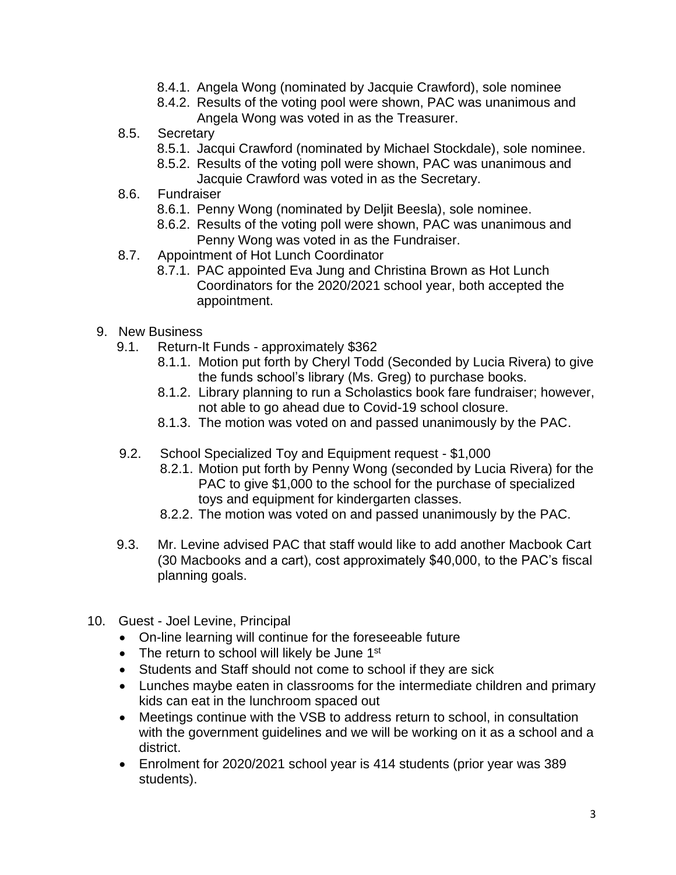- 8.4.1. Angela Wong (nominated by Jacquie Crawford), sole nominee
- 8.4.2. Results of the voting pool were shown, PAC was unanimous and Angela Wong was voted in as the Treasurer.
- 8.5. Secretary
	- 8.5.1. Jacqui Crawford (nominated by Michael Stockdale), sole nominee.
	- 8.5.2. Results of the voting poll were shown, PAC was unanimous and Jacquie Crawford was voted in as the Secretary.
- 8.6. Fundraiser
	- 8.6.1. Penny Wong (nominated by Deljit Beesla), sole nominee.
	- 8.6.2. Results of the voting poll were shown, PAC was unanimous and Penny Wong was voted in as the Fundraiser.
- 8.7. Appointment of Hot Lunch Coordinator
	- 8.7.1. PAC appointed Eva Jung and Christina Brown as Hot Lunch Coordinators for the 2020/2021 school year, both accepted the appointment.
- 9. New Business
	- 9.1. Return-It Funds approximately \$362
		- 8.1.1. Motion put forth by Cheryl Todd (Seconded by Lucia Rivera) to give the funds school's library (Ms. Greg) to purchase books.
		- 8.1.2. Library planning to run a Scholastics book fare fundraiser; however, not able to go ahead due to Covid-19 school closure.
		- 8.1.3. The motion was voted on and passed unanimously by the PAC.
	- 9.2. School Specialized Toy and Equipment request \$1,000
		- 8.2.1. Motion put forth by Penny Wong (seconded by Lucia Rivera) for the PAC to give \$1,000 to the school for the purchase of specialized toys and equipment for kindergarten classes.
		- 8.2.2. The motion was voted on and passed unanimously by the PAC.
	- 9.3. Mr. Levine advised PAC that staff would like to add another Macbook Cart (30 Macbooks and a cart), cost approximately \$40,000, to the PAC's fiscal planning goals.
- 10. Guest Joel Levine, Principal
	- On-line learning will continue for the foreseeable future
	- The return to school will likely be June  $1<sup>st</sup>$
	- Students and Staff should not come to school if they are sick
	- Lunches maybe eaten in classrooms for the intermediate children and primary kids can eat in the lunchroom spaced out
	- Meetings continue with the VSB to address return to school, in consultation with the government guidelines and we will be working on it as a school and a district.
	- Enrolment for 2020/2021 school year is 414 students (prior year was 389 students).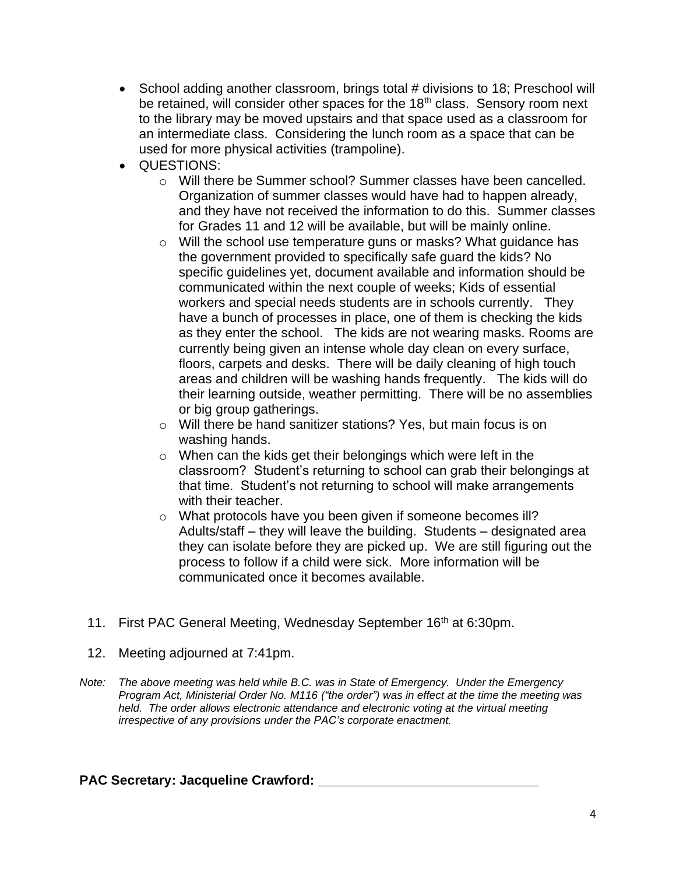- School adding another classroom, brings total # divisions to 18; Preschool will be retained, will consider other spaces for the 18<sup>th</sup> class. Sensory room next to the library may be moved upstairs and that space used as a classroom for an intermediate class. Considering the lunch room as a space that can be used for more physical activities (trampoline).
- QUESTIONS:
	- o Will there be Summer school? Summer classes have been cancelled. Organization of summer classes would have had to happen already, and they have not received the information to do this. Summer classes for Grades 11 and 12 will be available, but will be mainly online.
	- o Will the school use temperature guns or masks? What guidance has the government provided to specifically safe guard the kids? No specific guidelines yet, document available and information should be communicated within the next couple of weeks; Kids of essential workers and special needs students are in schools currently. They have a bunch of processes in place, one of them is checking the kids as they enter the school. The kids are not wearing masks. Rooms are currently being given an intense whole day clean on every surface, floors, carpets and desks. There will be daily cleaning of high touch areas and children will be washing hands frequently. The kids will do their learning outside, weather permitting. There will be no assemblies or big group gatherings.
	- o Will there be hand sanitizer stations? Yes, but main focus is on washing hands.
	- o When can the kids get their belongings which were left in the classroom? Student's returning to school can grab their belongings at that time. Student's not returning to school will make arrangements with their teacher.
	- o What protocols have you been given if someone becomes ill? Adults/staff – they will leave the building. Students – designated area they can isolate before they are picked up. We are still figuring out the process to follow if a child were sick. More information will be communicated once it becomes available.
- 11. First PAC General Meeting, Wednesday September 16<sup>th</sup> at 6:30pm.
- 12. Meeting adjourned at 7:41pm.
- *Note: The above meeting was held while B.C. was in State of Emergency. Under the Emergency Program Act, Ministerial Order No. M116 ("the order") was in effect at the time the meeting was held. The order allows electronic attendance and electronic voting at the virtual meeting irrespective of any provisions under the PAC's corporate enactment.*

## **PAC Secretary: Jacqueline Crawford: \_\_\_\_\_\_\_\_\_\_\_\_\_\_\_\_\_\_\_\_\_\_\_\_\_\_\_\_\_\_**